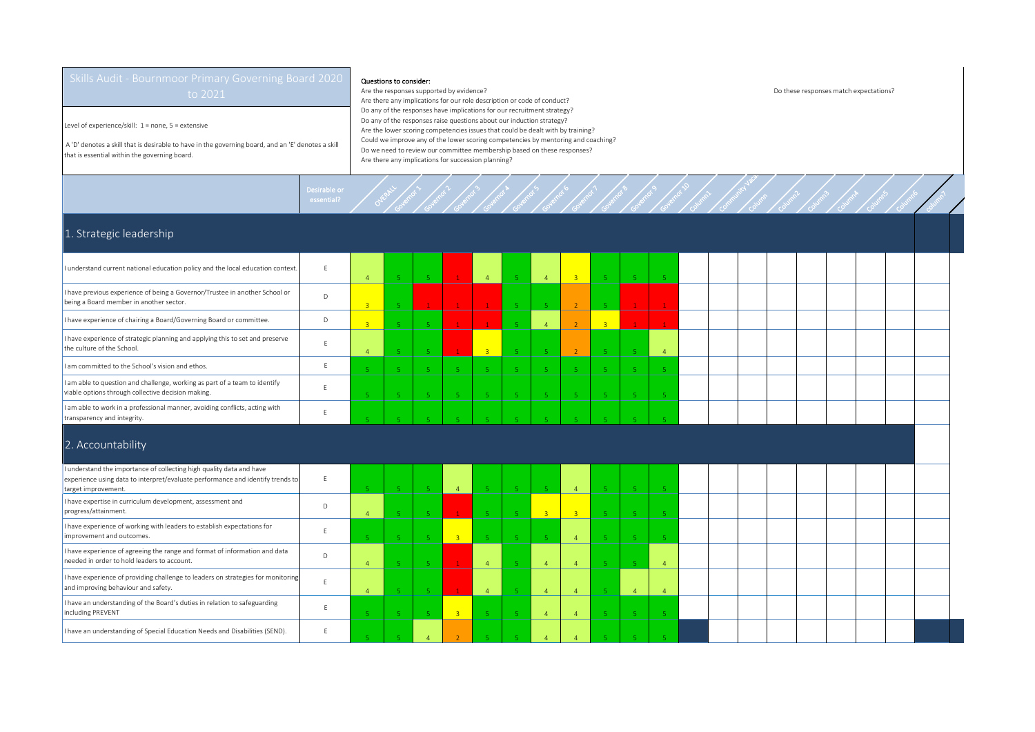Level of experience/skill: 1 = none, 5 = extensive

 A 'D' denotes a skill that is desirable to have in the governing board, and an 'E' denotes a skill that is essential within the governing board.

needed in order to hold leaders to account.<br>Ineeded in order to hold leaders to account.

I have an understanding of Special Education Needs and Disabilities (SEND). E

I have experience of providing challenge to leaders on strategies for monitoring Thave experience of providing challenge to leaders on strategies for monitoring E

I have an understanding of the Board's duties in relation to safeguarding

including PREVENT

## Questions to consider:

Governor >

Governor 2

Governor 3

Desirable or<br>essential? Overall

E

Are the responses supported by evidence? Do these responses match expectations? Are there any implications for our role description or code of conduct? Do any of the responses have implications for our recruitment strategy? Do any of the responses raise questions about our induction strategy? Are the lower scoring competencies issues that could be dealt with by training? Could we improve any of the lower scoring competencies by mentoring and coaching? Do we need to review our committee membership based on these responses? Are there any implications for succession planning?

Governor 4

Governor 5

Governor 6

Governor 7

Governor 8

Governor 9

Governor 10

Column1

Community Vacancy Column

Column2

Column3

Column4

Column5

Column6

Column 7

## 1. Strategic leadership

| I understand current national education policy and the local education context.                                                                                               | F | $\Delta$       | -51            | 5.             | $\mathbf{1}$   | $\mathbf{A}$   | $-5$           | $\overline{4}$ | $-3$           | -5.            | -51          |                |  |  |  |  |  |  |
|-------------------------------------------------------------------------------------------------------------------------------------------------------------------------------|---|----------------|----------------|----------------|----------------|----------------|----------------|----------------|----------------|----------------|--------------|----------------|--|--|--|--|--|--|
| I have previous experience of being a Governor/Trustee in another School or<br>being a Board member in another sector.                                                        | D | $\overline{3}$ | -51            |                | $\mathbf{1}$   |                | 5 <sup>°</sup> |                | $\overline{2}$ |                |              |                |  |  |  |  |  |  |
| I have experience of chairing a Board/Governing Board or committee.                                                                                                           | D | $\overline{3}$ | -5             |                | $\mathbf{1}$   |                | 5 <sup>1</sup> | $\overline{4}$ | $\overline{2}$ | $\overline{3}$ | $\mathbf{1}$ |                |  |  |  |  |  |  |
| I have experience of strategic planning and applying this to set and preserve<br>the culture of the School.                                                                   | F | $\overline{a}$ | 5              | i E.           | $\mathbf{1}$   | $\overline{3}$ | -51            |                | $\overline{2}$ |                | -51          | $\overline{A}$ |  |  |  |  |  |  |
| I am committed to the School's vision and ethos.                                                                                                                              | E |                | 5 <sup>°</sup> | -51            | 5 <sup>°</sup> |                | 5 <sup>1</sup> |                | $\mathbf{r}_i$ |                | -5           |                |  |  |  |  |  |  |
| I am able to question and challenge, working as part of a team to identify<br>viable options through collective decision making.                                              |   |                | -5             | 5 <sup>7</sup> | -5.            | 5 <sup>7</sup> | 5.             |                | -51            | - 5            | -51          |                |  |  |  |  |  |  |
| I am able to work in a professional manner, avoiding conflicts, acting with<br>transparency and integrity.                                                                    |   |                |                |                |                |                |                |                |                |                |              |                |  |  |  |  |  |  |
| 2. Accountability                                                                                                                                                             |   |                |                |                |                |                |                |                |                |                |              |                |  |  |  |  |  |  |
| I understand the importance of collecting high quality data and have<br>experience using data to interpret/evaluate performance and identify trends to<br>target improvement. |   | -5.            | -51            | -51            | $\overline{4}$ | 5 <sup>7</sup> | 5 <sup>°</sup> |                | $\overline{4}$ | -51            | -51          |                |  |  |  |  |  |  |
| I have expertise in curriculum development, assessment and<br>progress/attainment.                                                                                            | D | $\overline{A}$ | -5             | 5 <sup>7</sup> | $\mathbf{1}$   | -51            | 5 <sup>°</sup> | $-3$           | $\overline{3}$ | -51            | -5           |                |  |  |  |  |  |  |
| I have experience of working with leaders to establish expectations for<br>improvement and outcomes.                                                                          |   |                | -5             | -51            | 3 <sup>°</sup> | 5 <sup>7</sup> | 5.             |                | $\overline{4}$ | -5.            | -5           |                |  |  |  |  |  |  |
| I have experience of agreeing the range and format of information and data                                                                                                    |   |                |                |                |                |                |                |                |                |                |              |                |  |  |  |  |  |  |

4 5 5 5 1 4 5 4 4 5 5 5 4

4 5 5 <del>1 4</del> 5 4 4 5 4 5 4

5 **5 5 5 3 5 5 4 4 5 5 5 5** 

5 | 5 | 4 | 2 | 5 | 5 | 4 | 4 | 5 | 5 | 5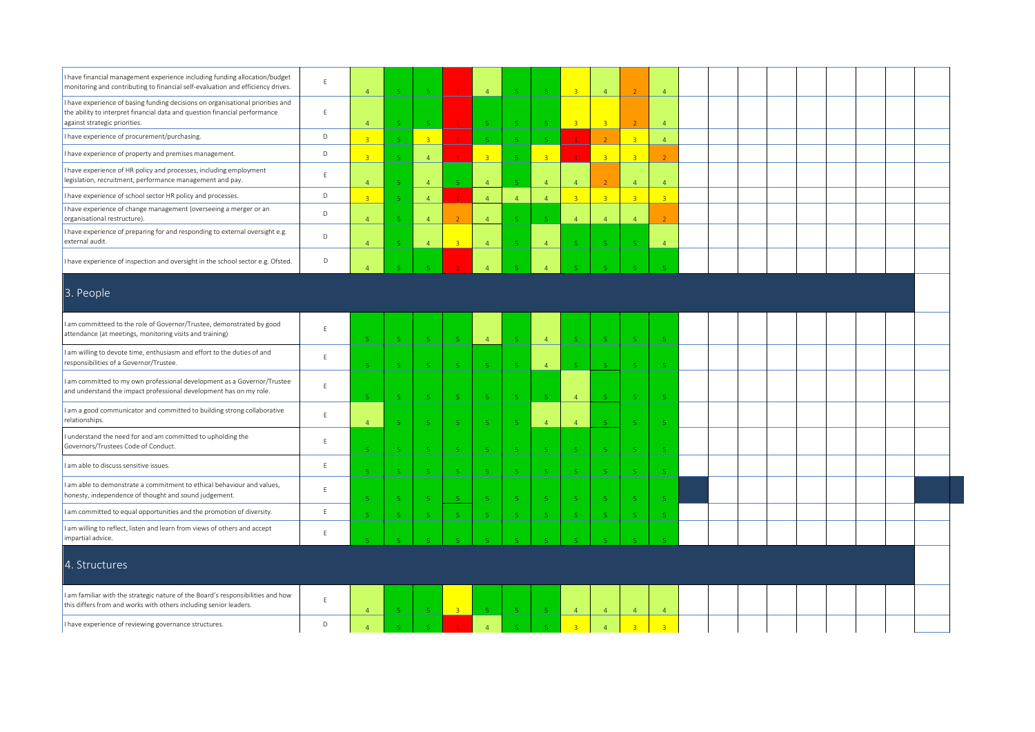| I have financial management experience including funding allocation/budget<br>monitoring and contributing to financial self-evaluation and efficiency drives.                                 | E            | $\overline{4}$ | $\langle \mathbf{r}_i \rangle$ | $\overline{\mathbf{R}}$ |                             | $\overline{4}$ |                         | $\overline{5}$          | $\overline{a}$          | $\overline{4}$          |                          | $\overline{4}$              |  |  |  |  |  |  |
|-----------------------------------------------------------------------------------------------------------------------------------------------------------------------------------------------|--------------|----------------|--------------------------------|-------------------------|-----------------------------|----------------|-------------------------|-------------------------|-------------------------|-------------------------|--------------------------|-----------------------------|--|--|--|--|--|--|
| I have experience of basing funding decisions on organisational priorities and<br>the ability to interpret financial data and question financial performance<br>against strategic priorities. | $\mathsf E$  | $\overline{4}$ | $\overline{5}$                 | -5                      |                             |                |                         | -5                      | $\overline{3}$          | $\overline{\mathbf{3}}$ |                          | $\overline{4}$              |  |  |  |  |  |  |
| I have experience of procurement/purchasing.                                                                                                                                                  | $\mathsf D$  | $\overline{a}$ | $\bar{\mathbf{q}}$             | $\overline{3}$          |                             |                |                         | <b>I</b>                |                         | $\overline{2}$          | $\overline{3}$           | $\overline{4}$              |  |  |  |  |  |  |
| I have experience of property and premises management.                                                                                                                                        | D            | $\mathbf{R}$   | $\overline{5}$                 | $\overline{4}$          |                             | $\overline{3}$ |                         | $\overline{\mathbf{3}}$ |                         | $\overline{3}$          | $\overline{3}$           |                             |  |  |  |  |  |  |
| I have experience of HR policy and processes, including employment<br>legislation, recruitment, performance management and pay.                                                               | E            | $\Delta$       | $5^{\circ}$                    | $\overline{4}$          | $\mathcal{R}^{\pm}$         | $\Delta$       | $\mathbf{r}_\mathrm{c}$ | $\overline{4}$          | $\overline{4}$          |                         | $\overline{4}$           | $\overline{4}$              |  |  |  |  |  |  |
| I have experience of school sector HR policy and processes.                                                                                                                                   | D            | $\overline{3}$ | $\mathsf S$                    | $\overline{4}$          | $\mathbf{1}$                | $\overline{4}$ | $\overline{4}$          | $\overline{4}$          | $\overline{3}$          | $\overline{3}$          | 3 <sup>1</sup>           | $\overline{3}$              |  |  |  |  |  |  |
| I have experience of change management (overseeing a merger or an<br>organisational restructure).                                                                                             | $\mathsf D$  | $\overline{4}$ | $\,$ 5 $\,$                    | $\overline{4}$          | $\overline{2}$              | $\overline{4}$ | $\mathbf{r}_\mathrm{c}$ | $\overline{5}$          | $\overline{a}$          | $\overline{4}$          | $\overline{4}$           | $\overline{2}$              |  |  |  |  |  |  |
| I have experience of preparing for and responding to external oversight e.g.<br>external audit.                                                                                               | D            | $\overline{4}$ | $5^{\circ}$                    | $\overline{4}$          | $\mathbb{R}^+$              | $\overline{4}$ | $\mathbb{R}^+$          | $\overline{4}$          | <b>K</b>                | - 5                     | $\overline{\phantom{a}}$ | $\overline{4}$              |  |  |  |  |  |  |
| I have experience of inspection and oversight in the school sector e.g. Ofsted.                                                                                                               | D            |                |                                |                         |                             |                |                         | $\overline{A}$          |                         |                         |                          |                             |  |  |  |  |  |  |
| 3. People                                                                                                                                                                                     |              |                |                                |                         |                             |                |                         |                         |                         |                         |                          |                             |  |  |  |  |  |  |
| am committeed to the role of Governor/Trustee, demonstrated by good<br>attendance (at meetings, monitoring visits and training)                                                               | E            |                | $\mathbf{r}_i$                 | -51                     | $\mathbf{r}_i$              | $\overline{4}$ |                         | $\overline{4}$          |                         | -5                      | -5                       | $\mathbf{r}_\mathrm{c}$     |  |  |  |  |  |  |
| I am willing to devote time, enthusiasm and effort to the duties of and<br>responsibilities of a Governor/Trustee.                                                                            | $\mathsf{E}$ |                | 5 <sup>°</sup>                 | -5                      | $\sqrt{5}$                  | -51            | $\mathbb{R}^+$          | $\overline{4}$          | $\mathbf{r}_i$          | $-5$                    | -5                       | $\overline{5}$              |  |  |  |  |  |  |
| am committed to my own professional development as a Governor/Trustee<br>and understand the impact professional development has on my role.                                                   | E            |                | $\overline{5}$                 | -5                      | -5                          |                |                         |                         | $\overline{a}$          |                         | -5                       |                             |  |  |  |  |  |  |
| I am a good communicator and committed to building strong collaborative<br>relationships.                                                                                                     | $\mathsf E$  | $\Lambda$      | $\overline{\mathbb{Q}}$        | -5                      | -5                          |                | $\mathbb{R}^n$          | $\overline{4}$          | $\overline{4}$          | <b>C</b>                | is.                      |                             |  |  |  |  |  |  |
| I understand the need for and am committed to upholding the<br>Governors/Trustees Code of Conduct.                                                                                            | E            |                | 5                              | -5                      | -5                          |                |                         | -5                      |                         | -5                      |                          |                             |  |  |  |  |  |  |
| I am able to discuss sensitive issues.                                                                                                                                                        | $\mathsf{E}$ |                | <b>K</b>                       | $\overline{a}$          | -5                          |                |                         | -5                      |                         | -5                      | -5.                      | $\mathcal{L}_{\mathcal{A}}$ |  |  |  |  |  |  |
| am able to demonstrate a commitment to ethical behaviour and values,<br>honesty, independence of thought and sound judgement.                                                                 | E            |                | $\overline{\mathbb{Q}}$        | <b>E</b>                | $\mathcal{L}_{\mathcal{A}}$ |                |                         | $\sqrt{5}$              | <b>K</b>                | $\sqrt{5}$              |                          | 5                           |  |  |  |  |  |  |
| I am committed to equal opportunities and the promotion of diversity.                                                                                                                         | $\mathsf E$  |                | 5 <sub>1</sub>                 | -5                      | $-5$                        | 5 <sup>°</sup> | $5^{\circ}$             | $\,$ 5                  | $\mathbf{r}_\mathrm{c}$ | $\,$ 5 $\,$             | $\sqrt{5}$               | $\mathsf S$                 |  |  |  |  |  |  |
| I am willing to reflect, listen and learn from views of others and accept<br>impartial advice.                                                                                                | E            |                |                                |                         |                             |                |                         |                         |                         |                         |                          |                             |  |  |  |  |  |  |
| 4. Structures                                                                                                                                                                                 |              |                |                                |                         |                             |                |                         |                         |                         |                         |                          |                             |  |  |  |  |  |  |
| I am familiar with the strategic nature of the Board's responsibilities and how<br>this differs from and works with others including senior leaders.                                          | E            | $\overline{4}$ | -5                             | $-5$                    | 3 <sup>°</sup>              |                |                         | $-5$                    | $\overline{4}$          | $\overline{4}$          | $\overline{4}$           | $\overline{4}$              |  |  |  |  |  |  |
| I have experience of reviewing governance structures.                                                                                                                                         | D            | $\overline{4}$ | $\mathbf{q}^{\prime}$          | $\mathbf{r}_i$          | $\mathbf{1}$                | $\overline{4}$ | $\mathbf{C}$            | $\mathbf{g}$            | $\overline{\mathbf{3}}$ | $\overline{4}$          | $\overline{3}$           | $\overline{3}$              |  |  |  |  |  |  |